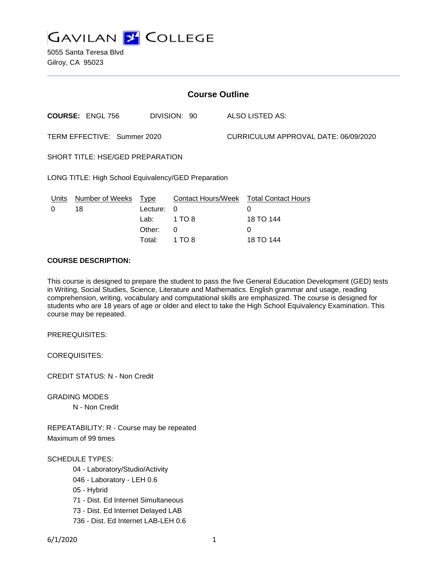

5055 Santa Teresa Blvd Gilroy, CA 95023

| <b>Course Outline</b>                               |                         |          |              |                                      |                                        |
|-----------------------------------------------------|-------------------------|----------|--------------|--------------------------------------|----------------------------------------|
|                                                     | <b>COURSE: ENGL 756</b> |          | DIVISION: 90 |                                      | ALSO LISTED AS:                        |
| TERM EFFECTIVE: Summer 2020                         |                         |          |              | CURRICULUM APPROVAL DATE: 06/09/2020 |                                        |
| SHORT TITLE: HSE/GED PREPARATION                    |                         |          |              |                                      |                                        |
| LONG TITLE: High School Equivalency/GED Preparation |                         |          |              |                                      |                                        |
| Units                                               | Number of Weeks Type    |          |              |                                      | Contact Hours/Week Total Contact Hours |
| 0                                                   | 18                      | Lecture: | $\Omega$     |                                      | $\Omega$                               |
|                                                     |                         | Lab:     | 1 TO 8       |                                      | 18 TO 144                              |
|                                                     |                         | Other:   | 0            |                                      | $\Omega$                               |
|                                                     |                         | Total:   | 1 TO 8       |                                      | 18 TO 144                              |

### **COURSE DESCRIPTION:**

This course is designed to prepare the student to pass the five General Education Development (GED) tests in Writing, Social Studies, Science, Literature and Mathematics. English grammar and usage, reading comprehension, writing, vocabulary and computational skills are emphasized. The course is designed for students who are 18 years of age or older and elect to take the High School Equivalency Examination. This course may be repeated.

PREREQUISITES:

COREQUISITES:

CREDIT STATUS: N - Non Credit

GRADING MODES

N - Non Credit

REPEATABILITY: R - Course may be repeated Maximum of 99 times

SCHEDULE TYPES:

- 04 Laboratory/Studio/Activity
- 046 Laboratory LEH 0.6
- 05 Hybrid
- 71 Dist. Ed Internet Simultaneous
- 73 Dist. Ed Internet Delayed LAB
- 736 Dist. Ed Internet LAB-LEH 0.6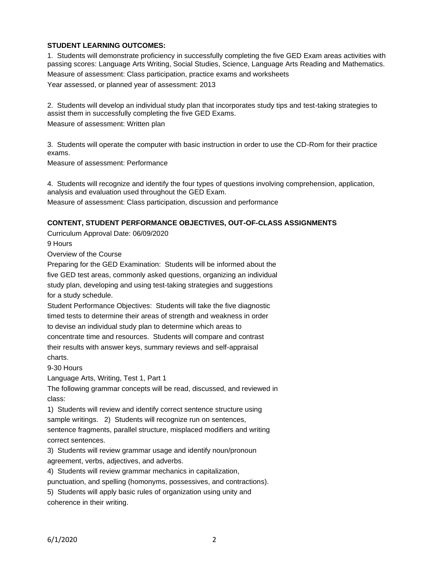# **STUDENT LEARNING OUTCOMES:**

1. Students will demonstrate proficiency in successfully completing the five GED Exam areas activities with passing scores: Language Arts Writing, Social Studies, Science, Language Arts Reading and Mathematics. Measure of assessment: Class participation, practice exams and worksheets Year assessed, or planned year of assessment: 2013

2. Students will develop an individual study plan that incorporates study tips and test-taking strategies to assist them in successfully completing the five GED Exams.

Measure of assessment: Written plan

3. Students will operate the computer with basic instruction in order to use the CD-Rom for their practice exams.

Measure of assessment: Performance

4. Students will recognize and identify the four types of questions involving comprehension, application, analysis and evaluation used throughout the GED Exam.

Measure of assessment: Class participation, discussion and performance

### **CONTENT, STUDENT PERFORMANCE OBJECTIVES, OUT-OF-CLASS ASSIGNMENTS**

Curriculum Approval Date: 06/09/2020

9 Hours

Overview of the Course

Preparing for the GED Examination: Students will be informed about the five GED test areas, commonly asked questions, organizing an individual study plan, developing and using test-taking strategies and suggestions for a study schedule.

Student Performance Objectives: Students will take the five diagnostic timed tests to determine their areas of strength and weakness in order to devise an individual study plan to determine which areas to

concentrate time and resources. Students will compare and contrast

their results with answer keys, summary reviews and self-appraisal charts.

9-30 Hours

Language Arts, Writing, Test 1, Part 1

The following grammar concepts will be read, discussed, and reviewed in class:

1) Students will review and identify correct sentence structure using sample writings. 2) Students will recognize run on sentences, sentence fragments, parallel structure, misplaced modifiers and writing correct sentences.

3) Students will review grammar usage and identify noun/pronoun agreement, verbs, adjectives, and adverbs.

4) Students will review grammar mechanics in capitalization,

punctuation, and spelling (homonyms, possessives, and contractions).

5) Students will apply basic rules of organization using unity and coherence in their writing.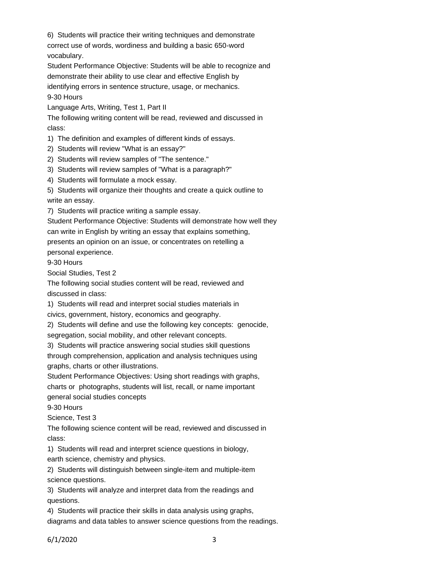6) Students will practice their writing techniques and demonstrate correct use of words, wordiness and building a basic 650-word vocabulary.

Student Performance Objective: Students will be able to recognize and demonstrate their ability to use clear and effective English by

identifying errors in sentence structure, usage, or mechanics. 9-30 Hours

Language Arts, Writing, Test 1, Part II

The following writing content will be read, reviewed and discussed in class:

1) The definition and examples of different kinds of essays.

2) Students will review "What is an essay?"

2) Students will review samples of "The sentence."

3) Students will review samples of "What is a paragraph?"

4) Students will formulate a mock essay.

5) Students will organize their thoughts and create a quick outline to write an essay.

7) Students will practice writing a sample essay.

Student Performance Objective: Students will demonstrate how well they

can write in English by writing an essay that explains something,

presents an opinion on an issue, or concentrates on retelling a

personal experience.

9-30 Hours

Social Studies, Test 2

The following social studies content will be read, reviewed and discussed in class:

1) Students will read and interpret social studies materials in

civics, government, history, economics and geography.

2) Students will define and use the following key concepts: genocide, segregation, social mobility, and other relevant concepts.

3) Students will practice answering social studies skill questions

through comprehension, application and analysis techniques using graphs, charts or other illustrations.

Student Performance Objectives: Using short readings with graphs, charts or photographs, students will list, recall, or name important general social studies concepts

9-30 Hours

Science, Test 3

The following science content will be read, reviewed and discussed in class:

1) Students will read and interpret science questions in biology,

earth science, chemistry and physics.

2) Students will distinguish between single-item and multiple-item science questions.

3) Students will analyze and interpret data from the readings and questions.

4) Students will practice their skills in data analysis using graphs,

diagrams and data tables to answer science questions from the readings.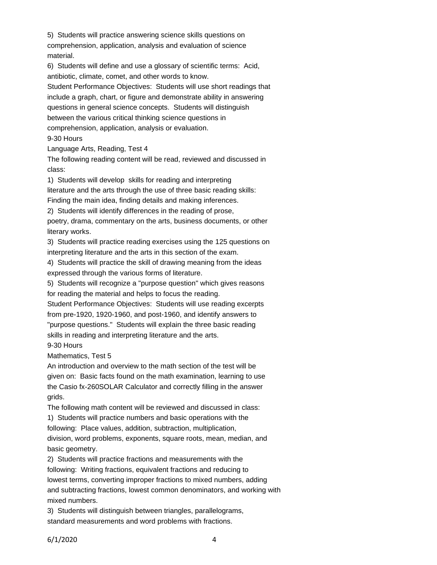5) Students will practice answering science skills questions on comprehension, application, analysis and evaluation of science material.

6) Students will define and use a glossary of scientific terms: Acid, antibiotic, climate, comet, and other words to know.

Student Performance Objectives: Students will use short readings that include a graph, chart, or figure and demonstrate ability in answering questions in general science concepts. Students will distinguish between the various critical thinking science questions in comprehension, application, analysis or evaluation. 9-30 Hours

Language Arts, Reading, Test 4

The following reading content will be read, reviewed and discussed in class:

1) Students will develop skills for reading and interpreting literature and the arts through the use of three basic reading skills: Finding the main idea, finding details and making inferences.

2) Students will identify differences in the reading of prose,

poetry, drama, commentary on the arts, business documents, or other literary works.

3) Students will practice reading exercises using the 125 questions on interpreting literature and the arts in this section of the exam.

4) Students will practice the skill of drawing meaning from the ideas expressed through the various forms of literature.

5) Students will recognize a "purpose question" which gives reasons for reading the material and helps to focus the reading.

Student Performance Objectives: Students will use reading excerpts from pre-1920, 1920-1960, and post-1960, and identify answers to "purpose questions." Students will explain the three basic reading skills in reading and interpreting literature and the arts.

9-30 Hours

Mathematics, Test 5

An introduction and overview to the math section of the test will be given on: Basic facts found on the math examination, learning to use the Casio fx-260SOLAR Calculator and correctly filling in the answer grids.

The following math content will be reviewed and discussed in class:

1) Students will practice numbers and basic operations with the following: Place values, addition, subtraction, multiplication, division, word problems, exponents, square roots, mean, median, and basic geometry.

2) Students will practice fractions and measurements with the following: Writing fractions, equivalent fractions and reducing to lowest terms, converting improper fractions to mixed numbers, adding and subtracting fractions, lowest common denominators, and working with mixed numbers.

3) Students will distinguish between triangles, parallelograms, standard measurements and word problems with fractions.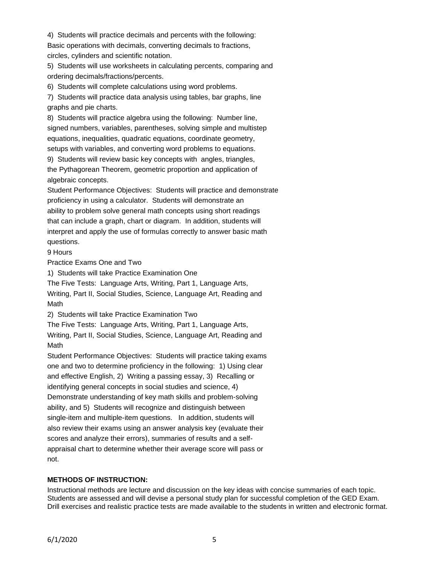4) Students will practice decimals and percents with the following: Basic operations with decimals, converting decimals to fractions, circles, cylinders and scientific notation.

5) Students will use worksheets in calculating percents, comparing and ordering decimals/fractions/percents.

6) Students will complete calculations using word problems.

7) Students will practice data analysis using tables, bar graphs, line graphs and pie charts.

8) Students will practice algebra using the following: Number line, signed numbers, variables, parentheses, solving simple and multistep equations, inequalities, quadratic equations, coordinate geometry, setups with variables, and converting word problems to equations.

9) Students will review basic key concepts with angles, triangles, the Pythagorean Theorem, geometric proportion and application of algebraic concepts.

Student Performance Objectives: Students will practice and demonstrate proficiency in using a calculator. Students will demonstrate an ability to problem solve general math concepts using short readings that can include a graph, chart or diagram. In addition, students will interpret and apply the use of formulas correctly to answer basic math questions.

9 Hours

Practice Exams One and Two

1) Students will take Practice Examination One

The Five Tests: Language Arts, Writing, Part 1, Language Arts,

Writing, Part II, Social Studies, Science, Language Art, Reading and Math

2) Students will take Practice Examination Two

The Five Tests: Language Arts, Writing, Part 1, Language Arts, Writing, Part II, Social Studies, Science, Language Art, Reading and Math

Student Performance Objectives: Students will practice taking exams one and two to determine proficiency in the following: 1) Using clear and effective English, 2) Writing a passing essay, 3) Recalling or identifying general concepts in social studies and science, 4) Demonstrate understanding of key math skills and problem-solving ability, and 5) Students will recognize and distinguish between single-item and multiple-item questions. In addition, students will also review their exams using an answer analysis key (evaluate their scores and analyze their errors), summaries of results and a selfappraisal chart to determine whether their average score will pass or not.

# **METHODS OF INSTRUCTION:**

Instructional methods are lecture and discussion on the key ideas with concise summaries of each topic. Students are assessed and will devise a personal study plan for successful completion of the GED Exam. Drill exercises and realistic practice tests are made available to the students in written and electronic format.